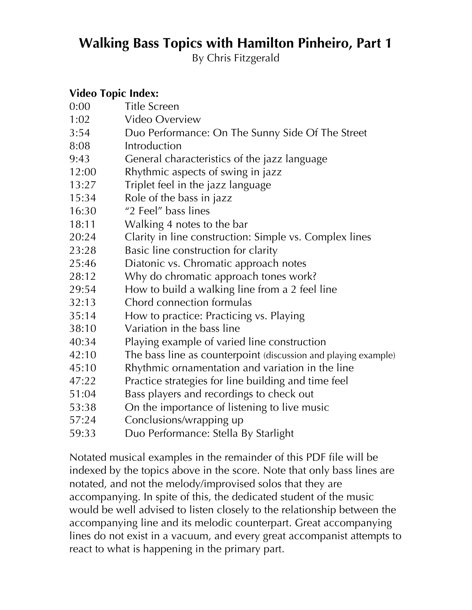## **Walking Bass Topics with Hamilton Pinheiro, Part 1**

By Chris Fitzgerald

## **Video Topic Index:**

- 0:00 Title Screen
- 1:02 Video Overview
- 3:54 Duo Performance: On The Sunny Side Of The Street
- 8:08 Introduction
- 9:43 General characteristics of the jazz language
- 12:00 Rhythmic aspects of swing in jazz
- 13:27 Triplet feel in the jazz language
- 15:34 Role of the bass in jazz
- 16:30 "2 Feel" bass lines
- 18:11 Walking 4 notes to the bar
- 20:24 Clarity in line construction: Simple vs. Complex lines
- 23:28 Basic line construction for clarity
- 25:46 Diatonic vs. Chromatic approach notes
- 28:12 Why do chromatic approach tones work?
- 29:54 How to build a walking line from a 2 feel line
- 32:13 Chord connection formulas
- 35:14 How to practice: Practicing vs. Playing
- 38:10 Variation in the bass line
- 40:34 Playing example of varied line construction
- 42:10 The bass line as counterpoint (discussion and playing example)
- 45:10 Rhythmic ornamentation and variation in the line
- 47:22 Practice strategies for line building and time feel
- 51:04 Bass players and recordings to check out
- 53:38 On the importance of listening to live music
- 57:24 Conclusions/wrapping up
- 59:33 Duo Performance: Stella By Starlight

Notated musical examples in the remainder of this PDF file will be indexed by the topics above in the score. Note that only bass lines are notated, and not the melody/improvised solos that they are accompanying. In spite of this, the dedicated student of the music would be well advised to listen closely to the relationship between the accompanying line and its melodic counterpart. Great accompanying lines do not exist in a vacuum, and every great accompanist attempts to react to what is happening in the primary part.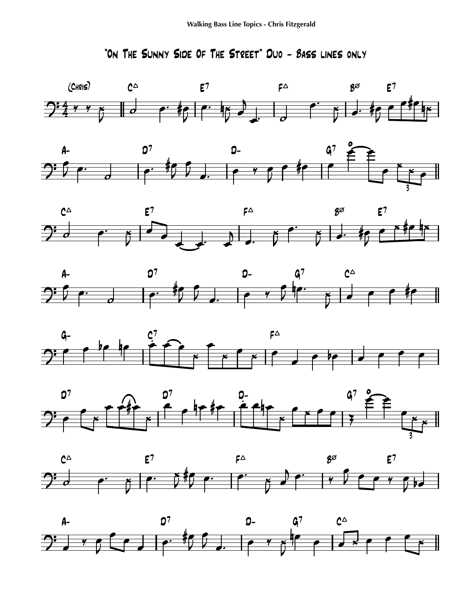"On The Sunny Side Of The Street" Duo - Bass lines only















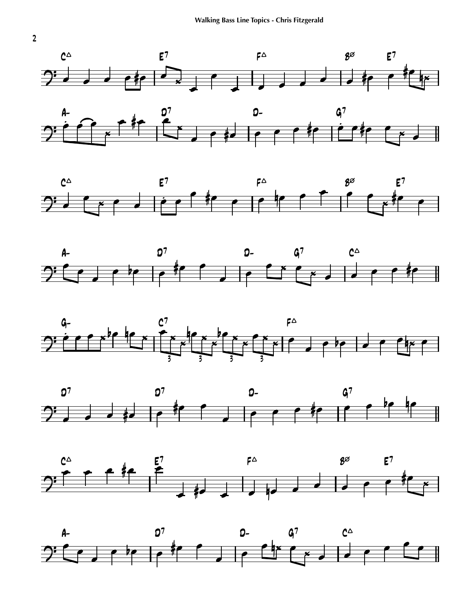













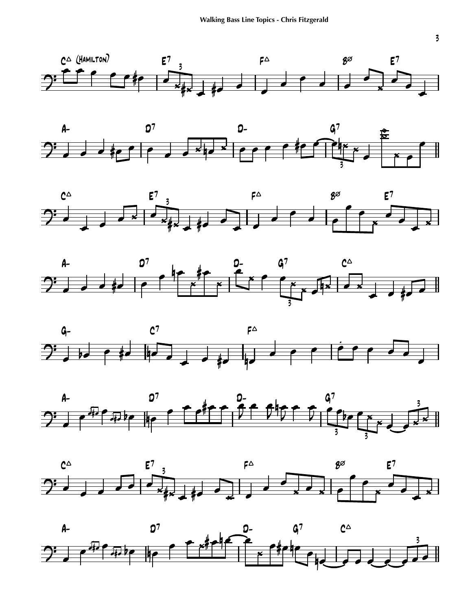













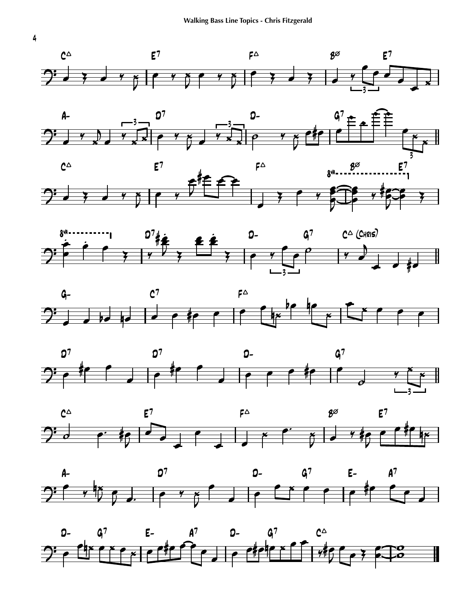















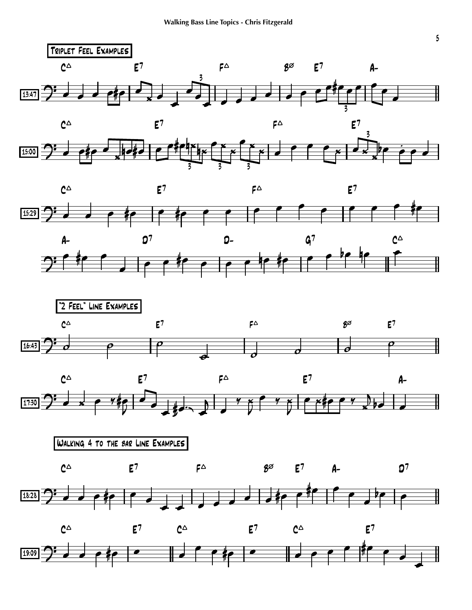











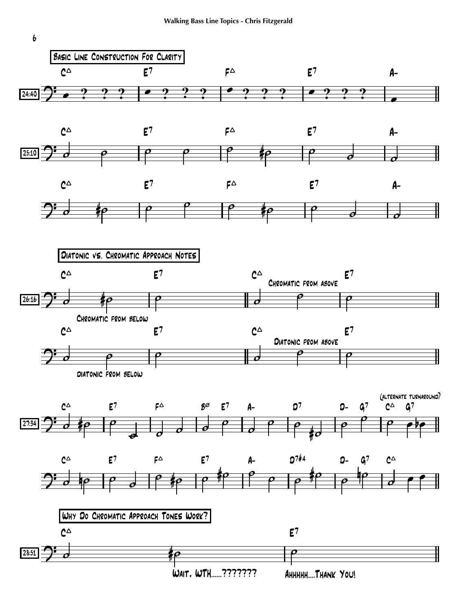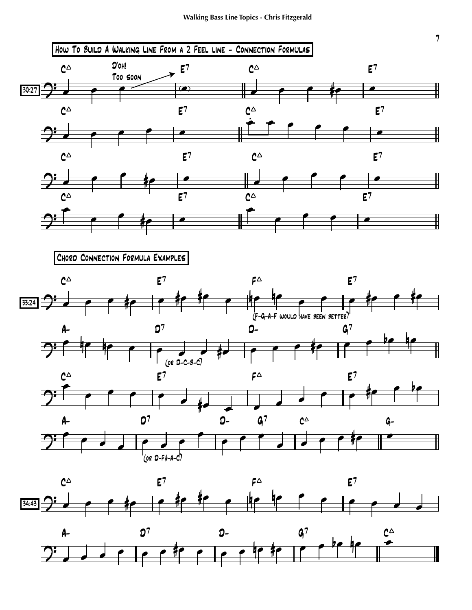

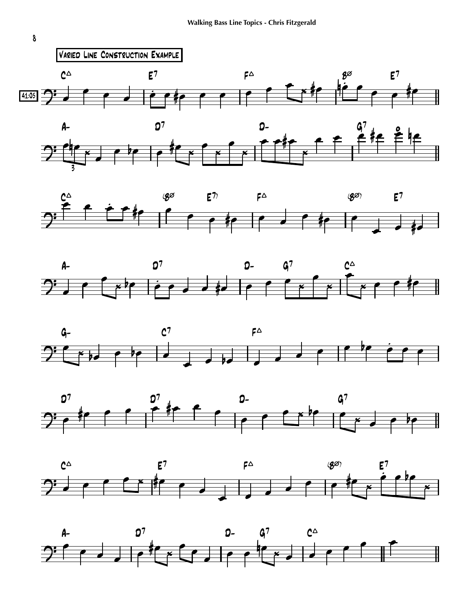















8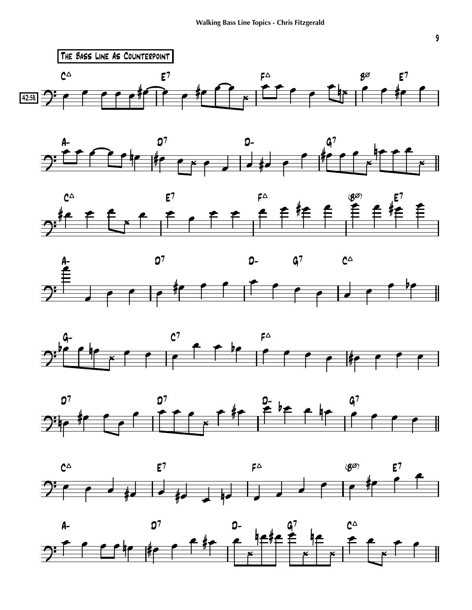













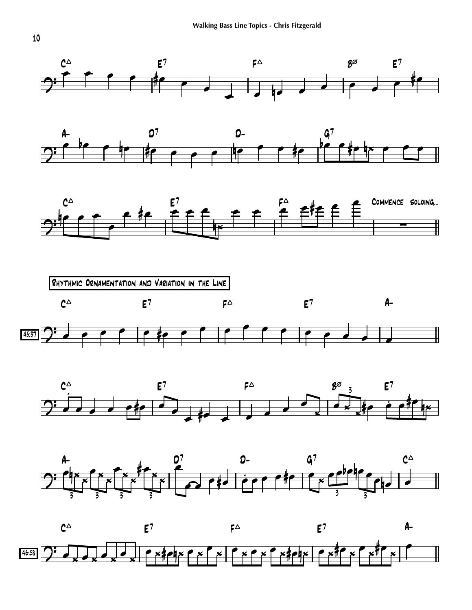











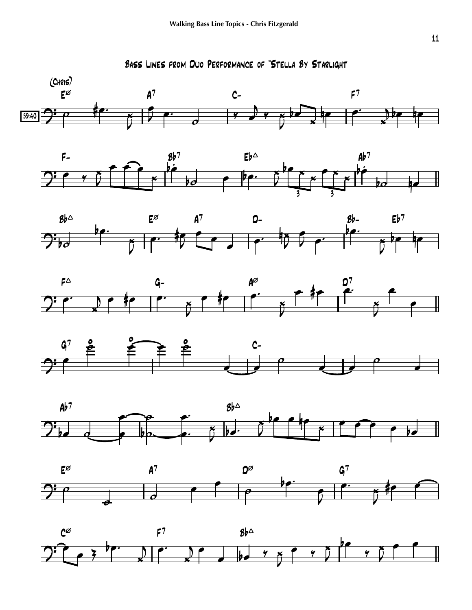## Bass Lines from Duo Performance of "Stella By Starlight















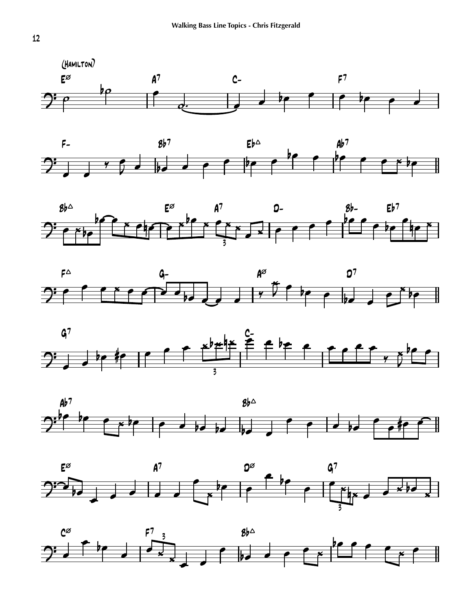













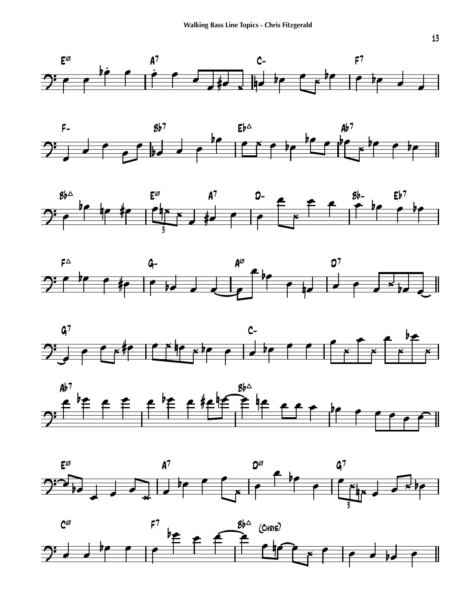













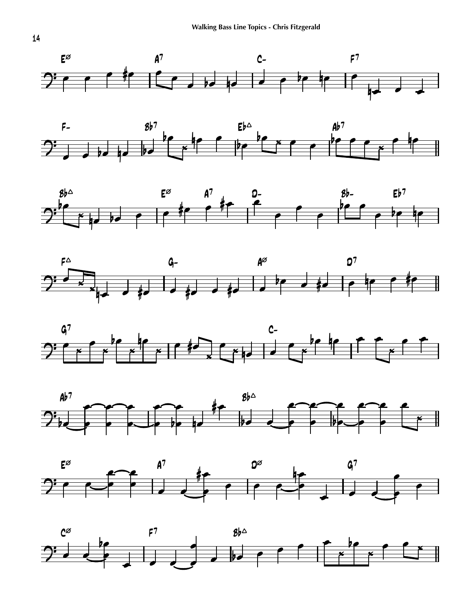